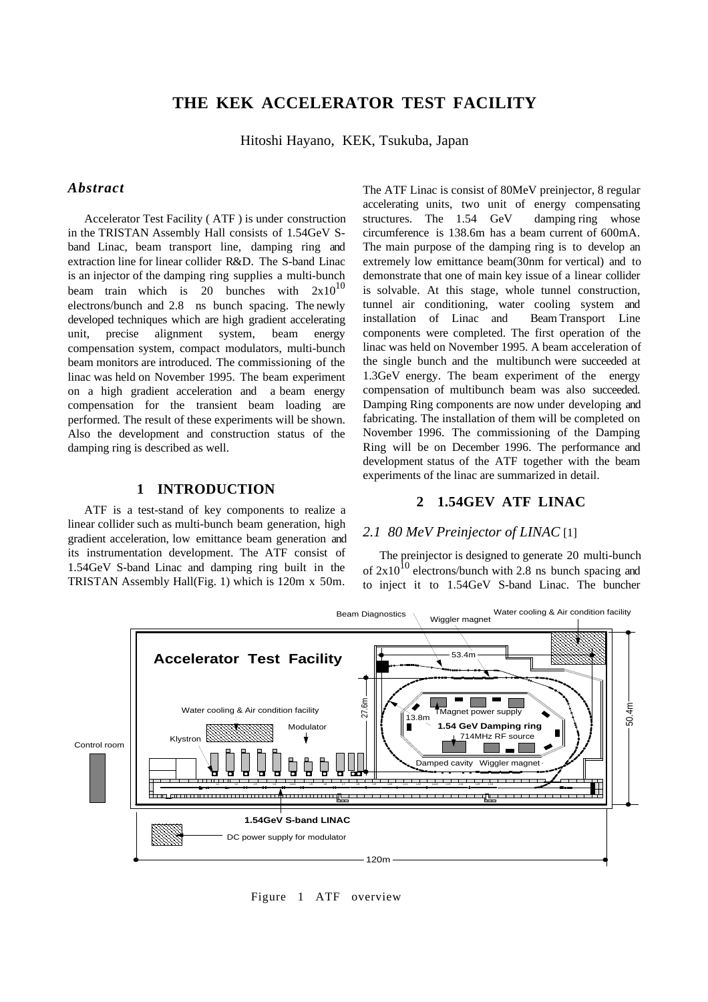# **THE KEK ACCELERATOR TEST FACILITY**

Hitoshi Hayano, KEK, Tsukuba, Japan

# *Abstract*

Accelerator Test Facility ( ATF ) is under construction in the TRISTAN Assembly Hall consists of 1.54GeV Sband Linac, beam transport line, damping ring and extraction line for linear collider R&D. The S-band Linac is an injector of the damping ring supplies a multi-bunch beam train which is 20 bunches with  $2x10^{10}$ electrons/bunch and 2.8 ns bunch spacing. The newly developed techniques which are high gradient accelerating unit, precise alignment system, beam energy compensation system, compact modulators, multi-bunch beam monitors are introduced. The commissioning of the linac was held on November 1995. The beam experiment on a high gradient acceleration and a beam energy compensation for the transient beam loading are performed. The result of these experiments will be shown. Also the development and construction status of the damping ring is described as well.

# **1 INTRODUCTION**

ATF is a test-stand of key components to realize a linear collider such as multi-bunch beam generation, high gradient acceleration, low emittance beam generation and its instrumentation development. The ATF consist of 1.54GeV S-band Linac and damping ring built in the TRISTAN Assembly Hall(Fig. 1) which is 120m x 50m.

The ATF Linac is consist of 80MeV preinjector, 8 regular accelerating units, two unit of energy compensating structures. The 1.54 GeV damping ring whose circumference is 138.6m has a beam current of 600mA. The main purpose of the damping ring is to develop an extremely low emittance beam(30nm for vertical) and to demonstrate that one of main key issue of a linear collider is solvable. At this stage, whole tunnel construction, tunnel air conditioning, water cooling system and installation of Linac and Beam Transport Line components were completed. The first operation of the linac was held on November 1995. A beam acceleration of the single bunch and the multibunch were succeeded at 1.3GeV energy. The beam experiment of the energy compensation of multibunch beam was also succeeded. Damping Ring components are now under developing and fabricating. The installation of them will be completed on November 1996. The commissioning of the Damping Ring will be on December 1996. The performance and development status of the ATF together with the beam experiments of the linac are summarized in detail.

# **2 1.54GEV ATF LINAC**

# *2.1 80 MeV Preinjector of LINAC* [1]

The preinjector is designed to generate 20 multi-bunch of  $2x10^{10}$  electrons/bunch with 2.8 ns bunch spacing and to inject it to 1.54GeV S-band Linac. The buncher



Figure 1 ATF overview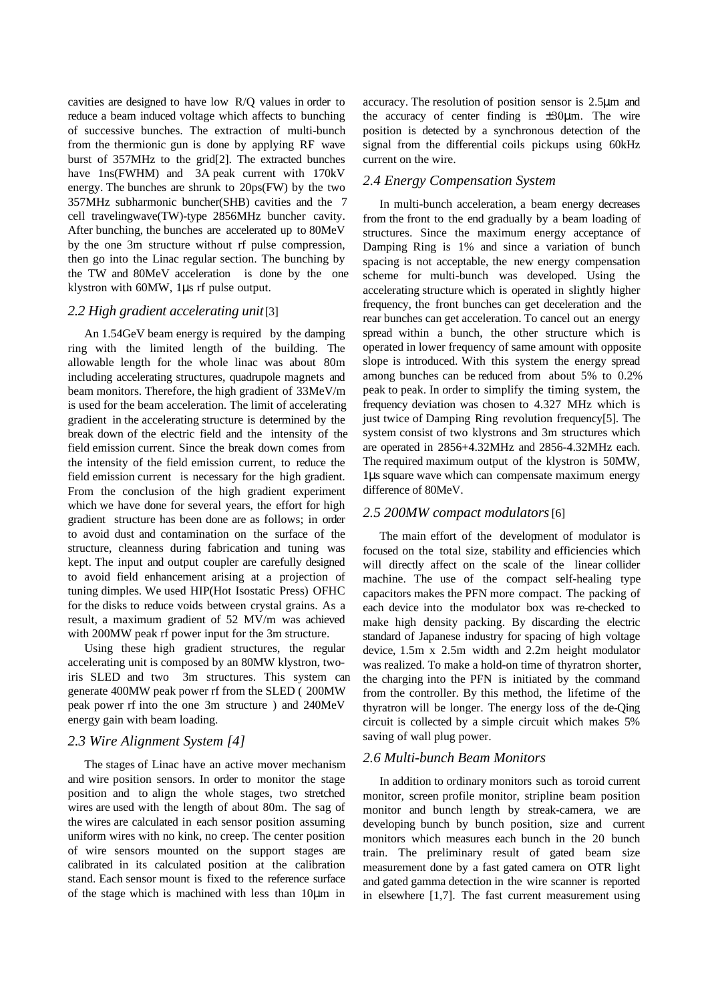cavities are designed to have low R/Q values in order to reduce a beam induced voltage which affects to bunching of successive bunches. The extraction of multi-bunch from the thermionic gun is done by applying RF wave burst of 357MHz to the grid[2]. The extracted bunches have  $1ns(FWHM)$  and  $3A peak current with 170kV$ energy. The bunches are shrunk to 20ps(FW) by the two 357MHz subharmonic buncher(SHB) cavities and the 7 cell travelingwave(TW)-type 2856MHz buncher cavity. After bunching, the bunches are accelerated up to 80MeV by the one 3m structure without rf pulse compression, then go into the Linac regular section. The bunching by the TW and 80MeV acceleration is done by the one klystron with 60MW, 1µs rf pulse output.

### *2.2 High gradient accelerating unit* [3]

An 1.54GeV beam energy is required by the damping ring with the limited length of the building. The allowable length for the whole linac was about 80m including accelerating structures, quadrupole magnets and beam monitors. Therefore, the high gradient of 33MeV/m is used for the beam acceleration. The limit of accelerating gradient in the accelerating structure is determined by the break down of the electric field and the intensity of the field emission current. Since the break down comes from the intensity of the field emission current, to reduce the field emission current is necessary for the high gradient. From the conclusion of the high gradient experiment which we have done for several years, the effort for high gradient structure has been done are as follows; in order to avoid dust and contamination on the surface of the structure, cleanness during fabrication and tuning was kept. The input and output coupler are carefully designed to avoid field enhancement arising at a projection of tuning dimples. We used HIP(Hot Isostatic Press) OFHC for the disks to reduce voids between crystal grains. As a result, a maximum gradient of 52 MV/m was achieved with 200MW peak rf power input for the 3m structure.

Using these high gradient structures, the regular accelerating unit is composed by an 80MW klystron, twoiris SLED and two 3m structures. This system can generate 400MW peak power rf from the SLED ( 200MW peak power rf into the one 3m structure ) and 240MeV energy gain with beam loading.

### *2.3 Wire Alignment System [4]*

The stages of Linac have an active mover mechanism and wire position sensors. In order to monitor the stage position and to align the whole stages, two stretched wires are used with the length of about 80m. The sag of the wires are calculated in each sensor position assuming uniform wires with no kink, no creep. The center position of wire sensors mounted on the support stages are calibrated in its calculated position at the calibration stand. Each sensor mount is fixed to the reference surface of the stage which is machined with less than 10µm in

accuracy. The resolution of position sensor is 2.5µm and the accuracy of center finding is  $\pm 30\mu$ m. The wire position is detected by a synchronous detection of the signal from the differential coils pickups using 60kHz current on the wire.

# *2.4 Energy Compensation System*

In multi-bunch acceleration, a beam energy decreases from the front to the end gradually by a beam loading of structures. Since the maximum energy acceptance of Damping Ring is 1% and since a variation of bunch spacing is not acceptable, the new energy compensation scheme for multi-bunch was developed. Using the accelerating structure which is operated in slightly higher frequency, the front bunches can get deceleration and the rear bunches can get acceleration. To cancel out an energy spread within a bunch, the other structure which is operated in lower frequency of same amount with opposite slope is introduced. With this system the energy spread among bunches can be reduced from about 5% to 0.2% peak to peak. In order to simplify the timing system, the frequency deviation was chosen to 4.327 MHz which is just twice of Damping Ring revolution frequency[5]. The system consist of two klystrons and 3m structures which are operated in 2856+4.32MHz and 2856-4.32MHz each. The required maximum output of the klystron is 50MW, 1µs square wave which can compensate maximum energy difference of 80MeV.

### *2.5 200MW compact modulators* [6]

The main effort of the development of modulator is focused on the total size, stability and efficiencies which will directly affect on the scale of the linear collider machine. The use of the compact self-healing type capacitors makes the PFN more compact. The packing of each device into the modulator box was re-checked to make high density packing. By discarding the electric standard of Japanese industry for spacing of high voltage device, 1.5m x 2.5m width and 2.2m height modulator was realized. To make a hold-on time of thyratron shorter, the charging into the PFN is initiated by the command from the controller. By this method, the lifetime of the thyratron will be longer. The energy loss of the de-Qing circuit is collected by a simple circuit which makes 5% saving of wall plug power.

### *2.6 Multi-bunch Beam Monitors*

In addition to ordinary monitors such as toroid current monitor, screen profile monitor, stripline beam position monitor and bunch length by streak-camera, we are developing bunch by bunch position, size and current monitors which measures each bunch in the 20 bunch train. The preliminary result of gated beam size measurement done by a fast gated camera on OTR light and gated gamma detection in the wire scanner is reported in elsewhere [1,7]. The fast current measurement using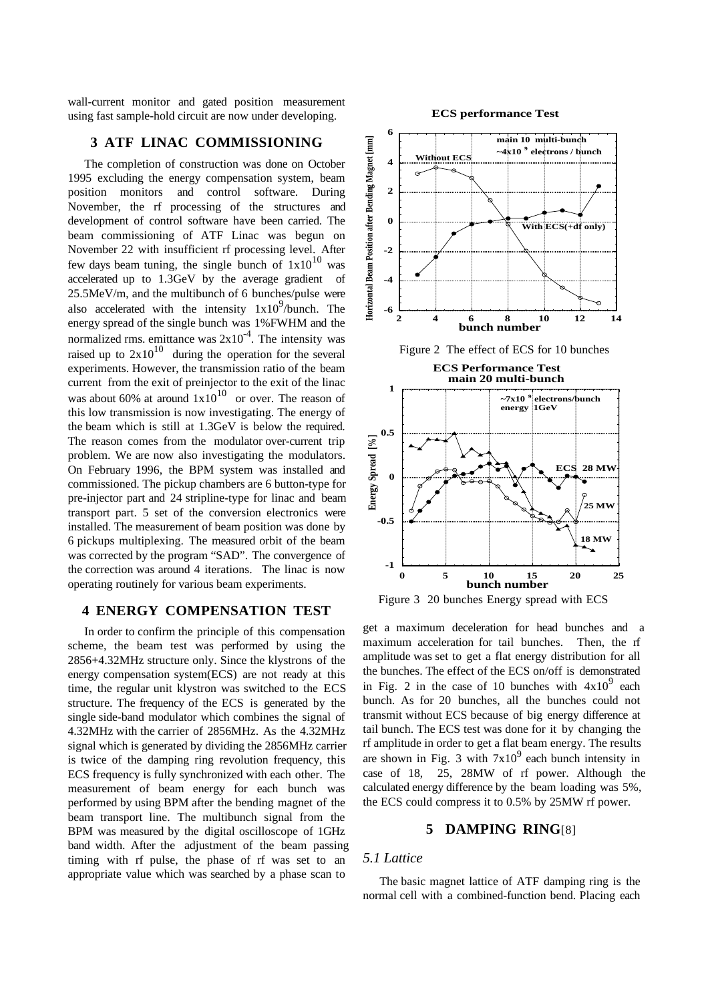wall-current monitor and gated position measurement using fast sample-hold circuit are now under developing.

# **3 ATF LINAC COMMISSIONING**

The completion of construction was done on October 1995 excluding the energy compensation system, beam position monitors and control software. During November, the rf processing of the structures and development of control software have been carried. The beam commissioning of ATF Linac was begun on November 22 with insufficient rf processing level. After few days beam tuning, the single bunch of  $1x10^{10}$  was accelerated up to 1.3GeV by the average gradient of 25.5MeV/m, and the multibunch of 6 bunches/pulse were also accelerated with the intensity  $1x10^9$ /bunch. The energy spread of the single bunch was 1%FWHM and the normalized rms. emittance was  $2x10^{-4}$ . The intensity was raised up to  $2x10^{10}$  during the operation for the several experiments. However, the transmission ratio of the beam current from the exit of preinjector to the exit of the linac was about 60% at around  $1x10^{10}$  or over. The reason of this low transmission is now investigating. The energy of the beam which is still at 1.3GeV is below the required. The reason comes from the modulator over-current trip problem. We are now also investigating the modulators. On February 1996, the BPM system was installed and commissioned. The pickup chambers are 6 button-type for pre-injector part and 24 stripline-type for linac and beam transport part. 5 set of the conversion electronics were installed. The measurement of beam position was done by 6 pickups multiplexing. The measured orbit of the beam was corrected by the program "SAD". The convergence of the correction was around 4 iterations. The linac is now operating routinely for various beam experiments.

# **4 ENERGY COMPENSATION TEST**

In order to confirm the principle of this compensation scheme, the beam test was performed by using the 2856+4.32MHz structure only. Since the klystrons of the energy compensation system(ECS) are not ready at this time, the regular unit klystron was switched to the ECS structure. The frequency of the ECS is generated by the single side-band modulator which combines the signal of 4.32MHz with the carrier of 2856MHz. As the 4.32MHz signal which is generated by dividing the 2856MHz carrier is twice of the damping ring revolution frequency, this ECS frequency is fully synchronized with each other. The measurement of beam energy for each bunch was performed by using BPM after the bending magnet of the beam transport line. The multibunch signal from the BPM was measured by the digital oscilloscope of 1GHz band width. After the adjustment of the beam passing timing with rf pulse, the phase of rf was set to an appropriate value which was searched by a phase scan to

#### **ECS performance Test**



Figure 2 The effect of ECS for 10 bunches



Figure 3 20 bunches Energy spread with ECS

get a maximum deceleration for head bunches and a maximum acceleration for tail bunches. Then, the rf amplitude was set to get a flat energy distribution for all the bunches. The effect of the ECS on/off is demonstrated in Fig. 2 in the case of 10 bunches with  $4x10^9$  each bunch. As for 20 bunches, all the bunches could not transmit without ECS because of big energy difference at tail bunch. The ECS test was done for it by changing the rf amplitude in order to get a flat beam energy. The results are shown in Fig. 3 with  $7x10^9$  each bunch intensity in case of 18, 25, 28MW of rf power. Although the calculated energy difference by the beam loading was 5%, the ECS could compress it to 0.5% by 25MW rf power.

# **5 DAMPING RING**[8]

# *5.1 Lattice*

The basic magnet lattice of ATF damping ring is the normal cell with a combined-function bend. Placing each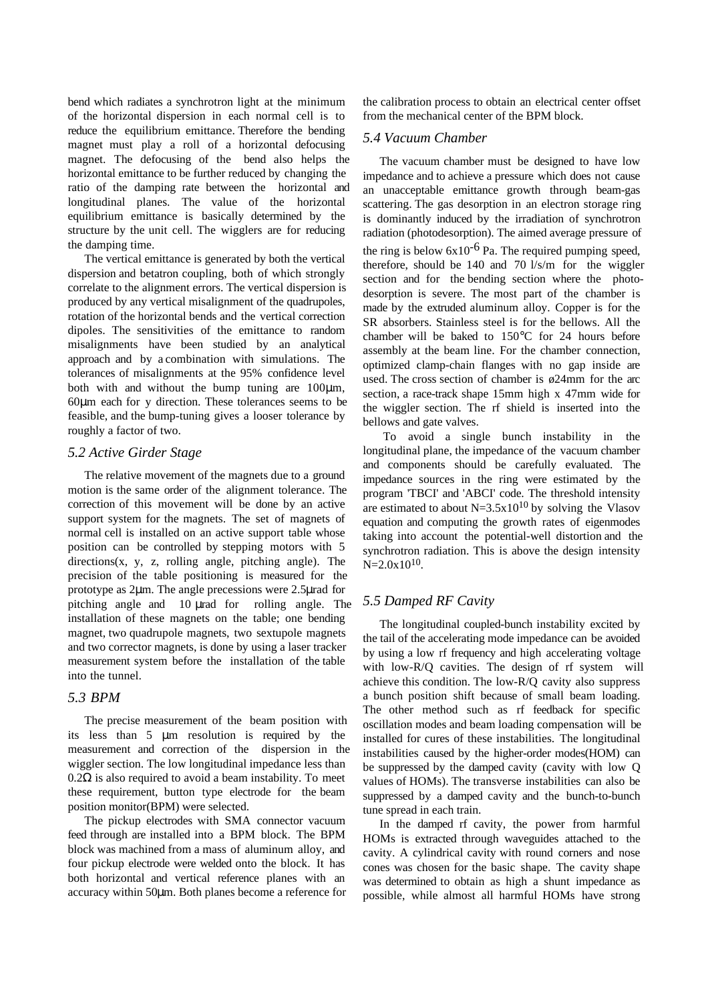bend which radiates a synchrotron light at the minimum of the horizontal dispersion in each normal cell is to reduce the equilibrium emittance. Therefore the bending magnet must play a roll of a horizontal defocusing magnet. The defocusing of the bend also helps the horizontal emittance to be further reduced by changing the ratio of the damping rate between the horizontal and longitudinal planes. The value of the horizontal equilibrium emittance is basically determined by the structure by the unit cell. The wigglers are for reducing the damping time.

The vertical emittance is generated by both the vertical dispersion and betatron coupling, both of which strongly correlate to the alignment errors. The vertical dispersion is produced by any vertical misalignment of the quadrupoles, rotation of the horizontal bends and the vertical correction dipoles. The sensitivities of the emittance to random misalignments have been studied by an analytical approach and by a combination with simulations. The tolerances of misalignments at the 95% confidence level both with and without the bump tuning are  $100 \mu m$ , 60µm each for y direction. These tolerances seems to be feasible, and the bump-tuning gives a looser tolerance by roughly a factor of two.

### *5.2 Active Girder Stage*

The relative movement of the magnets due to a ground motion is the same order of the alignment tolerance. The correction of this movement will be done by an active support system for the magnets. The set of magnets of normal cell is installed on an active support table whose position can be controlled by stepping motors with 5 directions(x, y, z, rolling angle, pitching angle). The precision of the table positioning is measured for the prototype as 2µm. The angle precessions were 2.5µrad for pitching angle and 10 µrad for rolling angle. The installation of these magnets on the table; one bending magnet, two quadrupole magnets, two sextupole magnets and two corrector magnets, is done by using a laser tracker measurement system before the installation of the table into the tunnel.

### *5.3 BPM*

The precise measurement of the beam position with its less than 5 µm resolution is required by the measurement and correction of the dispersion in the wiggler section. The low longitudinal impedance less than  $0.2\Omega$  is also required to avoid a beam instability. To meet these requirement, button type electrode for the beam position monitor(BPM) were selected.

The pickup electrodes with SMA connector vacuum feed through are installed into a BPM block. The BPM block was machined from a mass of aluminum alloy, and four pickup electrode were welded onto the block. It has both horizontal and vertical reference planes with an accuracy within 50µm. Both planes become a reference for the calibration process to obtain an electrical center offset from the mechanical center of the BPM block.

# *5.4 Vacuum Chamber*

The vacuum chamber must be designed to have low impedance and to achieve a pressure which does not cause an unacceptable emittance growth through beam-gas scattering. The gas desorption in an electron storage ring is dominantly induced by the irradiation of synchrotron radiation (photodesorption). The aimed average pressure of the ring is below  $6x10^{-6}$  Pa. The required pumping speed, therefore, should be 140 and 70 l/s/m for the wiggler section and for the bending section where the photodesorption is severe. The most part of the chamber is made by the extruded aluminum alloy. Copper is for the SR absorbers. Stainless steel is for the bellows. All the chamber will be baked to 150°C for 24 hours before assembly at the beam line. For the chamber connection, optimized clamp-chain flanges with no gap inside are used. The cross section of chamber is ø24mm for the arc section, a race-track shape 15mm high x 47mm wide for the wiggler section. The rf shield is inserted into the bellows and gate valves.

 To avoid a single bunch instability in the longitudinal plane, the impedance of the vacuum chamber and components should be carefully evaluated. The impedance sources in the ring were estimated by the program 'TBCI' and 'ABCI' code. The threshold intensity are estimated to about  $N=3.5x10^{10}$  by solving the Vlasov equation and computing the growth rates of eigenmodes taking into account the potential-well distortion and the synchrotron radiation. This is above the design intensity  $N=2.0x10^{10}$ .

# *5.5 Damped RF Cavity*

The longitudinal coupled-bunch instability excited by the tail of the accelerating mode impedance can be avoided by using a low rf frequency and high accelerating voltage with low-R/Q cavities. The design of rf system will achieve this condition. The low-R/Q cavity also suppress a bunch position shift because of small beam loading. The other method such as rf feedback for specific oscillation modes and beam loading compensation will be installed for cures of these instabilities. The longitudinal instabilities caused by the higher-order modes(HOM) can be suppressed by the damped cavity (cavity with low Q values of HOMs). The transverse instabilities can also be suppressed by a damped cavity and the bunch-to-bunch tune spread in each train.

In the damped rf cavity, the power from harmful HOMs is extracted through waveguides attached to the cavity. A cylindrical cavity with round corners and nose cones was chosen for the basic shape. The cavity shape was determined to obtain as high a shunt impedance as possible, while almost all harmful HOMs have strong